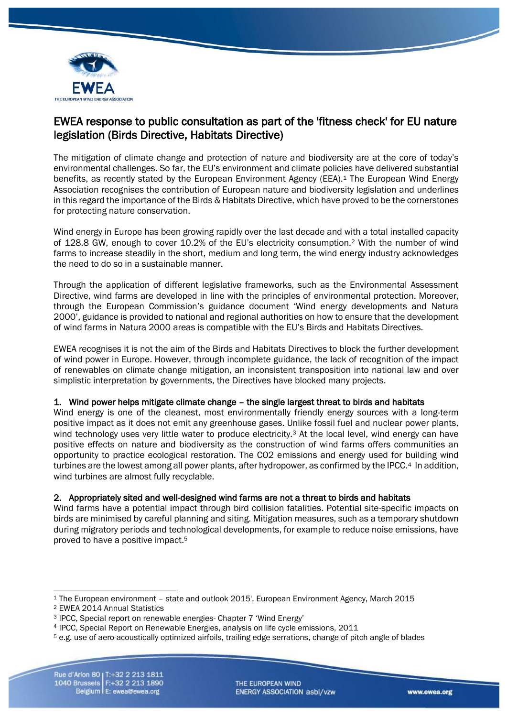

# EWEA response to public consultation as part of the 'fitness check' for EU nature legislation (Birds Directive, Habitats Directive)

The mitigation of climate change and protection of nature and biodiversity are at the core of today's environmental challenges. So far, the EU's environment and climate policies have delivered substantial benefits, as recently stated by the European Environment Agency (EEA).<sup>1</sup> The European Wind Energy Association recognises the contribution of European nature and biodiversity legislation and underlines in this regard the importance of the Birds & Habitats Directive, which have proved to be the cornerstones for protecting nature conservation.

Wind energy in Europe has been growing rapidly over the last decade and with a total installed capacity of 128.8 GW, enough to cover 10.2% of the EU's electricity consumption.<sup>2</sup> With the number of wind farms to increase steadily in the short, medium and long term, the wind energy industry acknowledges the need to do so in a sustainable manner.

Through the application of different legislative frameworks, such as the Environmental Assessment Directive, wind farms are developed in line with the principles of environmental protection. Moreover, through the European Commission's guidance document 'Wind energy developments and Natura 2000', guidance is provided to national and regional authorities on how to ensure that the development of wind farms in Natura 2000 areas is compatible with the EU's Birds and Habitats Directives.

EWEA recognises it is not the aim of the Birds and Habitats Directives to block the further development of wind power in Europe. However, through incomplete guidance, the lack of recognition of the impact of renewables on climate change mitigation, an inconsistent transposition into national law and over simplistic interpretation by governments, the Directives have blocked many projects.

## 1. Wind power helps mitigate climate change – the single largest threat to birds and habitats

Wind energy is one of the cleanest, most environmentally friendly energy sources with a long-term positive impact as it does not emit any greenhouse gases. Unlike fossil fuel and nuclear power plants, wind technology uses very little water to produce electricity.<sup>3</sup> At the local level, wind energy can have positive effects on nature and biodiversity as the construction of wind farms offers communities an opportunity to practice ecological restoration. The CO2 emissions and energy used for building wind turbines are the lowest among all power plants, after hydropower, as confirmed by the IPCC.<sup>4</sup> In addition, wind turbines are almost fully recyclable.

## 2. Appropriately sited and well-designed wind farms are not a threat to birds and habitats

Wind farms have a potential impact through bird collision fatalities. Potential site-specific impacts on birds are minimised by careful planning and siting. Mitigation measures, such as a temporary shutdown during migratory periods and technological developments, for example to reduce noise emissions, have proved to have a positive impact.<sup>5</sup>

<u>.</u>

THE EUROPEAN WIND ENERGY ASSOCIATION asbl/vzw

<sup>1</sup> The European environment – state and outlook 2015', European Environment Agency, March 2015

<sup>2</sup> EWEA 2014 Annual Statistics

<sup>3</sup> IPCC, Special report on renewable energies- Chapter 7 'Wind Energy'

<sup>4</sup> IPCC, Special Report on Renewable Energies, analysis on life cycle emissions, 2011

<sup>5</sup> e.g. use of aero-acoustically optimized airfoils, trailing edge serrations, change of pitch angle of blades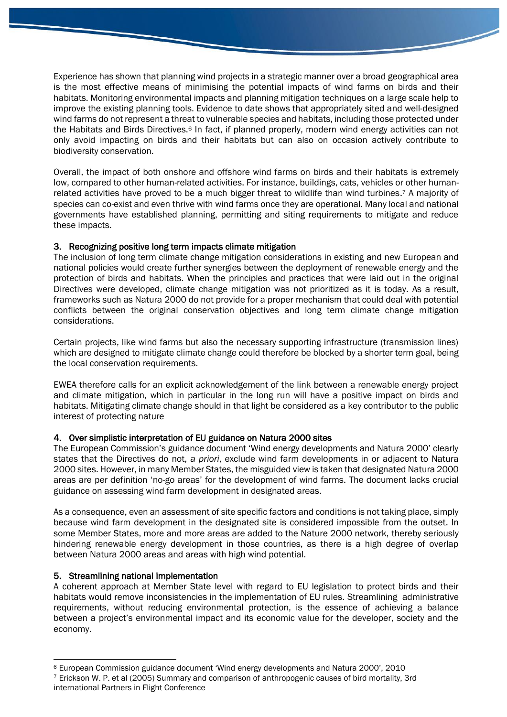Experience has shown that planning wind projects in a strategic manner over a broad geographical area is the most effective means of minimising the potential impacts of wind farms on birds and their habitats. Monitoring environmental impacts and planning mitigation techniques on a large scale help to improve the existing planning tools. Evidence to date shows that appropriately sited and well-designed wind farms do not represent a threat to vulnerable species and habitats, including those protected under the Habitats and Birds Directives.<sup>6</sup> In fact, if planned properly, modern wind energy activities can not only avoid impacting on birds and their habitats but can also on occasion actively contribute to biodiversity conservation.

Overall, the impact of both onshore and offshore wind farms on birds and their habitats is extremely low, compared to other human-related activities. For instance, buildings, cats, vehicles or other humanrelated activities have proved to be a much bigger threat to wildlife than wind turbines. <sup>7</sup> A majority of species can co-exist and even thrive with wind farms once they are operational. Many local and national governments have established planning, permitting and siting requirements to mitigate and reduce these impacts.

### 3. Recognizing positive long term impacts climate mitigation

The inclusion of long term climate change mitigation considerations in existing and new European and national policies would create further synergies between the deployment of renewable energy and the protection of birds and habitats. When the principles and practices that were laid out in the original Directives were developed, climate change mitigation was not prioritized as it is today. As a result, frameworks such as Natura 2000 do not provide for a proper mechanism that could deal with potential conflicts between the original conservation objectives and long term climate change mitigation considerations.

Certain projects, like wind farms but also the necessary supporting infrastructure (transmission lines) which are designed to mitigate climate change could therefore be blocked by a shorter term goal, being the local conservation requirements.

EWEA therefore calls for an explicit acknowledgement of the link between a renewable energy project and climate mitigation, which in particular in the long run will have a positive impact on birds and habitats. Mitigating climate change should in that light be considered as a key contributor to the public interest of protecting nature

## 4. Over simplistic interpretation of EU guidance on Natura 2000 sites

The European Commission's guidance document 'Wind energy developments and Natura 2000' clearly states that the Directives do not, *a priori*, exclude wind farm developments in or adjacent to Natura 2000 sites. However, in many Member States, the misguided view is taken that designated Natura 2000 areas are per definition 'no-go areas' for the development of wind farms. The document lacks crucial guidance on assessing wind farm development in designated areas.

As a consequence, even an assessment of site specific factors and conditions is not taking place, simply because wind farm development in the designated site is considered impossible from the outset. In some Member States, more and more areas are added to the Nature 2000 network, thereby seriously hindering renewable energy development in those countries, as there is a high degree of overlap between Natura 2000 areas and areas with high wind potential.

## 5. Streamlining national implementation

A coherent approach at Member State level with regard to EU legislation to protect birds and their habitats would remove inconsistencies in the implementation of EU rules. Streamlining administrative requirements, without reducing environmental protection, is the essence of achieving a balance between a project's environmental impact and its economic value for the developer, society and the economy.

<sup>&</sup>lt;u>.</u> <sup>6</sup> European Commission guidance document 'Wind energy developments and Natura 2000', 2010

<sup>7</sup> Erickson W. P. et al (2005) Summary and comparison of anthropogenic causes of bird mortality, 3rd international Partners in Flight Conference